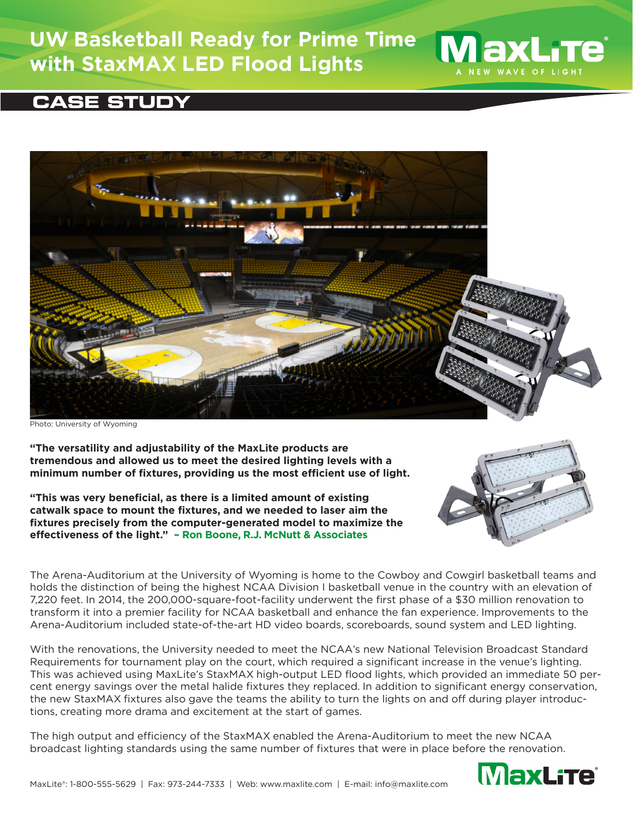## **UW Basketball Ready for Prime Time with StaxMAX LED Flood Lights**





Photo: University of Wyoming

**"The versatility and adjustability of the MaxLite products are tremendous and allowed us to meet the desired lighting levels with a minimum number of fixtures, providing us the most efficient use of light.** 

**"This was very beneficial, as there is a limited amount of existing catwalk space to mount the fixtures, and we needed to laser aim the fixtures precisely from the computer-generated model to maximize the effectiveness of the light." – Ron Boone, R.J. McNutt & Associates**



**MaxLite** \_\_<br>NEW WAVE OF LIGHT

The Arena-Auditorium at the University of Wyoming is home to the Cowboy and Cowgirl basketball teams and holds the distinction of being the highest NCAA Division I basketball venue in the country with an elevation of 7,220 feet. In 2014, the 200,000-square-foot-facility underwent the first phase of a \$30 million renovation to transform it into a premier facility for NCAA basketball and enhance the fan experience. Improvements to the Arena-Auditorium included state-of-the-art HD video boards, scoreboards, sound system and LED lighting.

With the renovations, the University needed to meet the NCAA's new National Television Broadcast Standard Requirements for tournament play on the court, which required a significant increase in the venue's lighting. This was achieved using MaxLite's StaxMAX high-output LED flood lights, which provided an immediate 50 percent energy savings over the metal halide fixtures they replaced. In addition to significant energy conservation, the new StaxMAX fixtures also gave the teams the ability to turn the lights on and off during player introductions, creating more drama and excitement at the start of games.

The high output and efficiency of the StaxMAX enabled the Arena-Auditorium to meet the new NCAA broadcast lighting standards using the same number of fixtures that were in place before the renovation.